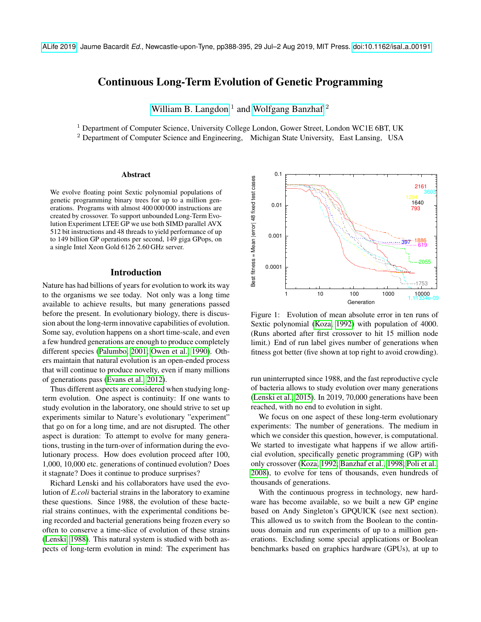# <span id="page-0-1"></span>Continuous Long-Term Evolution of Genetic Programming

[William B. Langdon](http://www.cs.ucl.ac.uk/staff/W.Langdon/)<sup>1</sup> and [Wolfgang Banzhaf](http://www.cse.msu.edu/~banzhafw/)<sup>2</sup>

<sup>1</sup> Department of Computer Science, University College London, Gower Street, London WC1E 6BT, UK

<sup>2</sup> Department of Computer Science and Engineering, Michigan State University, East Lansing, USA

#### Abstract

We evolve floating point Sextic polynomial populations of genetic programming binary trees for up to a million generations. Programs with almost 400 000 000 instructions are created by crossover. To support unbounded Long-Term Evolution Experiment LTEE GP we use both SIMD parallel AVX 512 bit instructions and 48 threads to yield performance of up to 149 billion GP operations per second, 149 giga GPops, on a single Intel Xeon Gold 6126 2.60 GHz server.

## Introduction

Nature has had billions of years for evolution to work its way to the organisms we see today. Not only was a long time available to achieve results, but many generations passed before the present. In evolutionary biology, there is discussion about the long-term innovative capabilities of evolution. Some say, evolution happens on a short time-scale, and even a few hundred generations are enough to produce completely different species [\(Palumbo, 2001;](#page-7-0) [Owen et al., 1990\)](#page-7-1). Others maintain that natural evolution is an open-ended process that will continue to produce novelty, even if many millions of generations pass [\(Evans et al., 2012\)](#page-7-2).

Thus different aspects are considered when studying longterm evolution. One aspect is continuity: If one wants to study evolution in the laboratory, one should strive to set up experiments similar to Nature's evolutionary "experiment" that go on for a long time, and are not disrupted. The other aspect is duration: To attempt to evolve for many generations, trusting in the turn-over of information during the evolutionary process. How does evolution proceed after 100, 1,000, 10,000 etc. generations of continued evolution? Does it stagnate? Does it continue to produce surprises?

Richard Lenski and his collaborators have used the evolution of *E.coli* bacterial strains in the laboratory to examine these questions. Since 1988, the evolution of these bacterial strains continues, with the experimental conditions being recorded and bacterial generations being frozen every so often to conserve a time-slice of evolution of these strains [\(Lenski, 1988\)](#page-7-3). This natural system is studied with both aspects of long-term evolution in mind: The experiment has



<span id="page-0-0"></span>Figure 1: Evolution of mean absolute error in ten runs of Sextic polynomial [\(Koza, 1992\)](#page-7-4) with population of 4000. (Runs aborted after first crossover to hit 15 million node limit.) End of run label gives number of generations when fitness got better (five shown at top right to avoid crowding).

run uninterrupted since 1988, and the fast reproductive cycle of bacteria allows to study evolution over many generations [\(Lenski et al., 2015\)](#page-7-5). In 2019, 70,000 generations have been reached, with no end to evolution in sight.

We focus on one aspect of these long-term evolutionary experiments: The number of generations. The medium in which we consider this question, however, is computational. We started to investigate what happens if we allow artificial evolution, specifically genetic programming (GP) with only crossover [\(Koza, 1992;](#page-7-4) [Banzhaf et al., 1998;](#page-7-6) [Poli et al.,](#page-7-7) [2008\)](#page-7-7), to evolve for tens of thousands, even hundreds of thousands of generations.

With the continuous progress in technology, new hardware has become available, so we built a new GP engine based on Andy Singleton's GPQUICK (see next section). This allowed us to switch from the Boolean to the continuous domain and run experiments of up to a million generations. Excluding some special applications or Boolean benchmarks based on graphics hardware (GPUs), at up to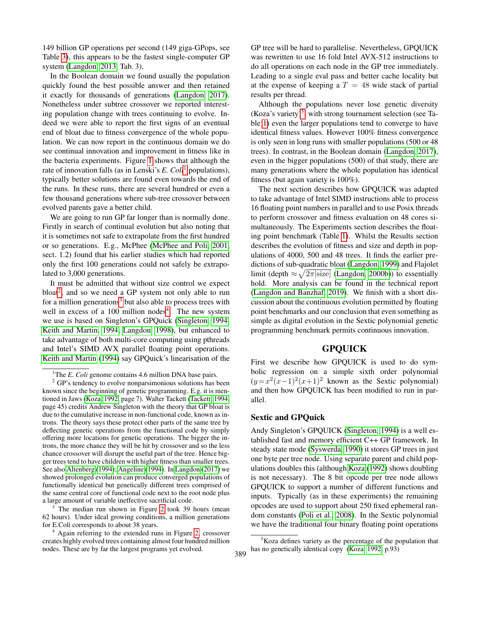149 billion GP operations per second (149 giga-GPops, see Table [3\)](#page-5-0), this appears to be the fastest single-computer GP system [\(Langdon, 2013,](#page-7-8) Tab. 3).

In the Boolean domain we found usually the population quickly found the best possible answer and then retained it exactly for thousands of generations [\(Langdon, 2017\)](#page-7-9). Nonetheless under subtree crossover we reported interesting population change with trees continuing to evolve. Indeed we were able to report the first signs of an eventual end of bloat due to fitness convergence of the whole population. We can now report in the continuous domain we do see continual innovation and improvement in fitness like in the bacteria experiments. Figure [1](#page-0-0) shows that although the rate of innovation falls (as in Lenski's *E. Coli*<sup>[1](#page-1-0)</sup> populations), typically better solutions are found even towards the end of the runs. In these runs, there are several hundred or even a few thousand generations where sub-tree crossover between evolved parents gave a better child.

We are going to run GP far longer than is normally done. Firstly in search of continual evolution but also noting that it is sometimes not safe to extrapolate from the first hundred or so generations. E.g., McPhee [\(McPhee and Poli, 2001,](#page-7-10) sect. 1.2) found that his earlier studies which had reported only the first 100 generations could not safely be extrapolated to 3,000 generations.

It must be admitted that without size control we expect bloat<sup>[2](#page-1-1)</sup>, and so we need a GP system not only able to run for a million generations<sup>[3](#page-1-2)</sup> but also able to process trees with well in excess of a 100 million nodes<sup>[4](#page-1-3)</sup>. The new system we use is based on Singleton's GPQuick [\(Singleton, 1994;](#page-7-11) [Keith and Martin, 1994;](#page-7-12) [Langdon, 1998\)](#page-7-13), but enhanced to take advantage of both multi-core computing using pthreads and Intel's SIMD AVX parallel floating point operations. [Keith and Martin](#page-7-12) [\(1994\)](#page-7-12) say GPQuick's linearisation of the

<span id="page-1-2"></span>The median run shown in Figure [2](#page-2-0) took 39 hours (mean 62 hours). Under ideal growing conditions, a million generations for E.Coli corresponds to about 38 years.

<span id="page-1-3"></span><sup>4</sup> Again referring to the extended runs in Figure [2,](#page-2-0) crossover creates highly evolved trees containing almost four hundred million nodes. These are by far the largest programs yet evolved.

GP tree will be hard to parallelise. Nevertheless, GPQUICK was rewritten to use 16 fold Intel AVX-512 instructions to do all operations on each node in the GP tree immediately. Leading to a single eval pass and better cache locality but at the expense of keeping a  $T = 48$  wide stack of partial results per thread.

Although the populations never lose genetic diversity (Koza's variety)<sup>[5](#page-1-4)</sup>, with strong tournament selection (see Table [1\)](#page-3-0) even the larger populations tend to converge to have identical fitness values. However 100% fitness convergence is only seen in long runs with smaller populations (500 or 48 trees). In contrast, in the Boolean domain [\(Langdon, 2017\)](#page-7-9), even in the bigger populations (500) of that study, there are many generations where the whole population has identical fitness (but again variety is 100%).

The next section describes how GPQUICK was adapted to take advantage of Intel SIMD instructions able to process 16 floating point numbers in parallel and to use Posix threads to perform crossover and fitness evaluation on 48 cores simultaneously. The Experiments section describes the floating point benchmark (Table [1\)](#page-3-0). Whilst the Results section describes the evolution of fitness and size and depth in populations of 4000, 500 and 48 trees. It finds the earlier predictions of sub-quadratic bloat [\(Langdon, 1999\)](#page-7-15) and Flajolet limit (depth  $\approx \sqrt{2\pi |\text{size}|}$  [\(Langdon, 2000b\)](#page-7-16)) to essentially hold. More analysis can be found in the technical report [\(Langdon and Banzhaf, 2019\)](#page-7-17). We finish with a short discussion about the continuous evolution permitted by floating point benchmarks and our conclusion that even something as simple as digital evolution in the Sextic polynomial genetic programming benchmark permits continuous innovation.

# GPQUICK

First we describe how GPQUICK is used to do symbolic regression on a simple sixth order polynomial  $(y=x^2(x-1)^2(x+1)^2$  known as the Sextic polynomial) and then how GPQUICK has been modified to run in parallel.

### Sextic and GPQuick

Andy Singleton's GPQUICK [\(Singleton, 1994\)](#page-7-11) is a well established fast and memory efficient C++ GP framework. In steady state mode [\(Syswerda, 1990\)](#page-7-18) it stores GP trees in just one byte per tree node. Using separate parent and child populations doubles this (although [Koza](#page-7-4) [\(1992\)](#page-7-4) shows doubling is not necessary). The 8 bit opcode per tree node allows GPQUICK to support a number of different functions and inputs. Typically (as in these experiments) the remaining opcodes are used to support about 250 fixed ephemeral random constants [\(Poli et al., 2008\)](#page-7-7). In the Sextic polynomial we have the traditional four binary floating point operations

<span id="page-1-1"></span><span id="page-1-0"></span><sup>&</sup>lt;sup>1</sup>The *E. Coli* genome contains 4.6 million DNA base pairs.

 $2$  GP's tendency to evolve nonparsimonious solutions has been known since the beginning of genetic programming. E.g. it is mentioned in Jaws [\(Koza, 1992,](#page-7-4) page 7). Walter Tackett [\(Tackett, 1994,](#page-7-14) page 45) credits Andrew Singleton with the theory that GP bloat is due to the cumulative increase in non-functional code, known as introns. The theory says these protect other parts of the same tree by deflecting genetic operations from the functional code by simply offering more locations for genetic operations. The bigger the introns, the more chance they will be hit by crossover and so the less chance crossover will disrupt the useful part of the tree. Hence bigger trees tend to have children with higher fitness than smaller trees. See also [Altenberg](#page-6-0) [\(1994\)](#page-6-0); [Angeline](#page-6-1) [\(1994\)](#page-6-1). In [Langdon](#page-7-9) [\(2017\)](#page-7-9) we showed prolonged evolution can produce converged populations of functionally identical but genetically different trees comprised of the same central core of functional code next to the root node plus a large amount of variable ineffective sacrificial code.

<span id="page-1-4"></span> $5$ Koza defines variety as the percentage of the population that has no genetically identical copy [\(Koza, 1992,](#page-7-4) p.93)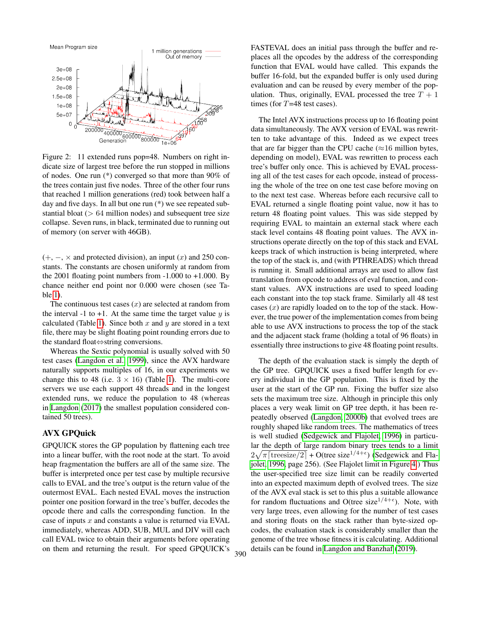

<span id="page-2-0"></span>Figure 2: 11 extended runs pop=48. Numbers on right indicate size of largest tree before the run stopped in millions of nodes. One run (\*) converged so that more than 90% of the trees contain just five nodes. Three of the other four runs that reached 1 million generations (red) took between half a day and five days. In all but one run (\*) we see repeated substantial bloat  $(> 64$  million nodes) and subsequent tree size collapse. Seven runs, in black, terminated due to running out of memory (on server with 46GB).

 $(+, -, \times$  and protected division), an input  $(x)$  and 250 constants. The constants are chosen uniformly at random from the 2001 floating point numbers from  $-1.000$  to  $+1.000$ . By chance neither end point nor 0.000 were chosen (see Table [1\)](#page-3-0).

The continuous test cases  $(x)$  are selected at random from the interval -1 to +1. At the same time the target value  $y$  is calculated (Table [1\)](#page-3-0). Since both  $x$  and  $y$  are stored in a text file, there may be slight floating point rounding errors due to the standard float⇔string conversions.

Whereas the Sextic polynomial is usually solved with 50 test cases [\(Langdon et al., 1999\)](#page-7-19), since the AVX hardware naturally supports multiples of 16, in our experiments we change this to 48 (i.e.  $3 \times 16$ ) (Table [1\)](#page-3-0). The multi-core servers we use each support 48 threads and in the longest extended runs, we reduce the population to 48 (whereas in [Langdon](#page-7-9) [\(2017\)](#page-7-9) the smallest population considered contained 50 trees).

### AVX GPQuick

GPQUICK stores the GP population by flattening each tree into a linear buffer, with the root node at the start. To avoid heap fragmentation the buffers are all of the same size. The buffer is interpreted once per test case by multiple recursive calls to EVAL and the tree's output is the return value of the outermost EVAL. Each nested EVAL moves the instruction pointer one position forward in the tree's buffer, decodes the opcode there and calls the corresponding function. In the case of inputs  $x$  and constants a value is returned via EVAL immediately, whereas ADD, SUB, MUL and DIV will each call EVAL twice to obtain their arguments before operating on them and returning the result. For speed GPQUICK's FASTEVAL does an initial pass through the buffer and replaces all the opcodes by the address of the corresponding function that EVAL would have called. This expands the buffer 16-fold, but the expanded buffer is only used during evaluation and can be reused by every member of the population. Thus, originally, EVAL processed the tree  $T + 1$ times (for  $T=48$  test cases).

The Intel AVX instructions process up to 16 floating point data simultaneously. The AVX version of EVAL was rewritten to take advantage of this. Indeed as we expect trees that are far bigger than the CPU cache ( $\approx$ 16 million bytes, depending on model), EVAL was rewritten to process each tree's buffer only once. This is achieved by EVAL processing all of the test cases for each opcode, instead of processing the whole of the tree on one test case before moving on to the next test case. Whereas before each recursive call to EVAL returned a single floating point value, now it has to return 48 floating point values. This was side stepped by requiring EVAL to maintain an external stack where each stack level contains 48 floating point values. The AVX instructions operate directly on the top of this stack and EVAL keeps track of which instruction is being interpreted, where the top of the stack is, and (with PTHREADS) which thread is running it. Small additional arrays are used to allow fast translation from opcode to address of eval function, and constant values. AVX instructions are used to speed loading each constant into the top stack frame. Similarly all 48 test cases  $(x)$  are rapidly loaded on to the top of the stack. However, the true power of the implementation comes from being able to use AVX instructions to process the top of the stack and the adjacent stack frame (holding a total of 96 floats) in essentially three instructions to give 48 floating point results.

The depth of the evaluation stack is simply the depth of the GP tree. GPQUICK uses a fixed buffer length for every individual in the GP population. This is fixed by the user at the start of the GP run. Fixing the buffer size also sets the maximum tree size. Although in principle this only places a very weak limit on GP tree depth, it has been repeatedly observed [\(Langdon, 2000b\)](#page-7-16) that evolved trees are roughly shaped like random trees. The mathematics of trees is well studied [\(Sedgewick and Flajolet, 1996\)](#page-7-20) in particular the depth of large random binary trees tends to a limit  $2\sqrt{\pi \left[\text{treesize}/2\right]} + \text{O}(\text{tree size}^{1/4+\epsilon})$  [\(Sedgewick and Fla](#page-7-20)[jolet, 1996,](#page-7-20) page 256). (See Flajolet limit in Figure [4.](#page-5-1)) Thus the user-specified tree size limit can be readily converted into an expected maximum depth of evolved trees. The size of the AVX eval stack is set to this plus a suitable allowance for random fluctuations and O(tree size $1/4+\epsilon$ ). Note, with very large trees, even allowing for the number of test cases and storing floats on the stack rather than byte-sized opcodes, the evaluation stack is considerably smaller than the genome of the tree whose fitness it is calculating. Additional details can be found in [Langdon and Banzhaf](#page-7-17) [\(2019\)](#page-7-17).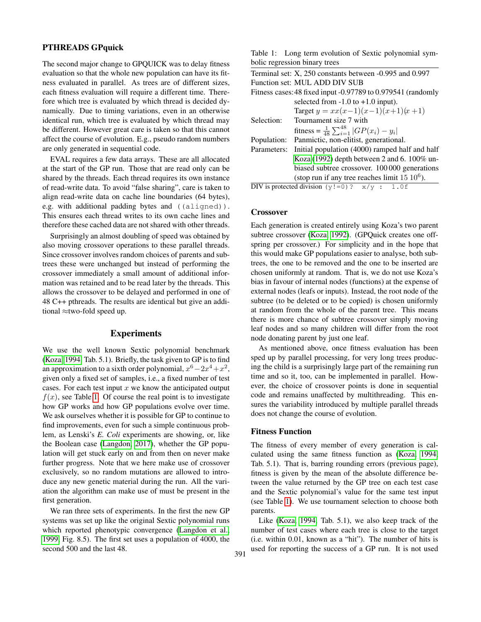### PTHREADS GPquick

The second major change to GPQUICK was to delay fitness evaluation so that the whole new population can have its fitness evaluated in parallel. As trees are of different sizes, each fitness evaluation will require a different time. Therefore which tree is evaluated by which thread is decided dynamically. Due to timing variations, even in an otherwise identical run, which tree is evaluated by which thread may be different. However great care is taken so that this cannot affect the course of evolution. E.g., pseudo random numbers are only generated in sequential code.

EVAL requires a few data arrays. These are all allocated at the start of the GP run. Those that are read only can be shared by the threads. Each thread requires its own instance of read-write data. To avoid "false sharing", care is taken to align read-write data on cache line boundaries (64 bytes), e.g. with additional padding bytes and ((aligned)). This ensures each thread writes to its own cache lines and therefore these cached data are not shared with other threads.

Surprisingly an almost doubling of speed was obtained by also moving crossover operations to these parallel threads. Since crossover involves random choices of parents and subtrees these were unchanged but instead of performing the crossover immediately a small amount of additional information was retained and to be read later by the threads. This allows the crossover to be delayed and performed in one of 48 C++ pthreads. The results are identical but give an additional ≈two-fold speed up.

### **Experiments**

We use the well known Sextic polynomial benchmark [\(Koza, 1994,](#page-7-21) Tab. 5.1). Briefly, the task given to GP is to find an approximation to a sixth order polynomial,  $x^6 - 2x^4 + x^2$ , given only a fixed set of samples, i.e., a fixed number of test cases. For each test input  $x$  we know the anticipated output  $f(x)$ , see Table [1.](#page-3-0) Of course the real point is to investigate how GP works and how GP populations evolve over time. We ask ourselves whether it is possible for GP to continue to find improvements, even for such a simple continuous problem, as Lenski's *E. Coli* experiments are showing, or, like the Boolean case [\(Langdon, 2017\)](#page-7-9), whether the GP population will get stuck early on and from then on never make further progress. Note that we here make use of crossover exclusively, so no random mutations are allowed to introduce any new genetic material during the run. All the variation the algorithm can make use of must be present in the first generation.

We ran three sets of experiments. In the first the new GP systems was set up like the original Sextic polynomial runs which reported phenotypic convergence [\(Langdon et al.,](#page-7-19) [1999,](#page-7-19) Fig. 8.5). The first set uses a population of 4000, the second 500 and the last 48.

<span id="page-3-0"></span>

|                               |  | Table 1: Long term evolution of Sextic polynomial sym- |  |
|-------------------------------|--|--------------------------------------------------------|--|
| bolic regression binary trees |  |                                                        |  |

|             | Terminal set: X, 250 constants between -0.995 and 0.997      |
|-------------|--------------------------------------------------------------|
|             | Function set: MUL ADD DIV SUB                                |
|             | Fitness cases: 48 fixed input -0.97789 to 0.979541 (randomly |
|             | selected from $-1.0$ to $+1.0$ input).                       |
|             | Target $y = xx(x-1)(x-1)(x+1)(x+1)$                          |
| Selection:  | Tournament size 7 with                                       |
|             | fitness = $\frac{1}{48} \sum_{i=1}^{48}  GP(x_i) - y_i $     |
| Population: | Panmictic, non-elitist, generational.                        |
| Parameters: | Initial population (4000) ramped half and half               |
|             | Koza (1992) depth between 2 and 6. 100% un-                  |
|             | biased subtree crossover. 100 000 generations                |
|             | (stop run if any tree reaches limit $15 10^6$ ).             |
|             | DIV is protected division $(y!=0)$ ? $x/y$ : 1.0f            |

### Crossover

Each generation is created entirely using Koza's two parent subtree crossover [\(Koza, 1992\)](#page-7-4). (GPQuick creates one offspring per crossover.) For simplicity and in the hope that this would make GP populations easier to analyse, both subtrees, the one to be removed and the one to be inserted are chosen uniformly at random. That is, we do not use Koza's bias in favour of internal nodes (functions) at the expense of external nodes (leafs or inputs). Instead, the root node of the subtree (to be deleted or to be copied) is chosen uniformly at random from the whole of the parent tree. This means there is more chance of subtree crossover simply moving leaf nodes and so many children will differ from the root node donating parent by just one leaf.

As mentioned above, once fitness evaluation has been sped up by parallel processing, for very long trees producing the child is a surprisingly large part of the remaining run time and so it, too, can be implemented in parallel. However, the choice of crossover points is done in sequential code and remains unaffected by multithreading. This ensures the variability introduced by multiple parallel threads does not change the course of evolution.

## Fitness Function

The fitness of every member of every generation is calculated using the same fitness function as [\(Koza, 1994,](#page-7-21) Tab. 5.1). That is, barring rounding errors (previous page), fitness is given by the mean of the absolute difference between the value returned by the GP tree on each test case and the Sextic polynomial's value for the same test input (see Table [1\)](#page-3-0). We use tournament selection to choose both parents.

Like [\(Koza, 1994,](#page-7-21) Tab. 5.1), we also keep track of the number of test cases where each tree is close to the target (i.e. within 0.01, known as a "hit"). The number of hits is used for reporting the success of a GP run. It is not used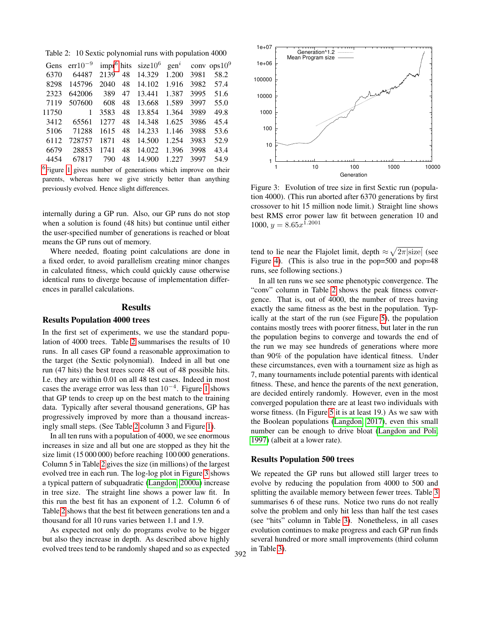<span id="page-4-0"></span>Table 2: 10 Sextic polynomial runs with population 4000

|       | Gens $err10^{-9}$ impr <sup>6</sup> hits size $10^6$ gen <sup>i</sup> |       |    |        |       |      | conv ops $10^9$ |
|-------|-----------------------------------------------------------------------|-------|----|--------|-------|------|-----------------|
| 6370  | 64487                                                                 | 2139  | 48 | 14.329 | 1.200 | 3981 | 58.2            |
| 8298  | 145796                                                                | 2040  | 48 | 14.102 | 1.916 | 3982 | 57.4            |
| 2323  | 642006                                                                | 389   | 47 | 13.441 | 1.387 | 3995 | 51.6            |
| 7119  | 507600                                                                | 608   | 48 | 13.668 | 1.589 | 3997 | 55.0            |
| 11750 | 1                                                                     | 3583  | 48 | 13.854 | 1.364 | 3989 | 49.8            |
| 3412  | 65561                                                                 | 12.77 | 48 | 14.348 | 1.625 | 3986 | 45.4            |
| 5106  | 71288                                                                 | 1615  | 48 | 14.233 | 1.146 | 3988 | 53.6            |
| 6112  | 728757                                                                | 1871  | 48 | 14.500 | 1.254 | 3983 | 52.9            |
| 6679  | 28853                                                                 | 1741  | 48 | 14.022 | 1.396 | 3998 | 43.4            |
| 4454  | 67817                                                                 | 790   | 48 | 14.900 | 1.227 | 3997 | 54.9            |
|       |                                                                       |       |    |        |       |      |                 |

<sup>[6](#page-0-1)</sup>Figure [1](#page-0-0) gives number of generations which improve on their parents, whereas here we give strictly better than anything previously evolved. Hence slight differences.

internally during a GP run. Also, our GP runs do not stop when a solution is found (48 hits) but continue until either the user-specified number of generations is reached or bloat means the GP runs out of memory.

Where needed, floating point calculations are done in a fixed order, to avoid parallelism creating minor changes in calculated fitness, which could quickly cause otherwise identical runs to diverge because of implementation differences in parallel calculations.

### **Results**

### Results Population 4000 trees

In the first set of experiments, we use the standard population of 4000 trees. Table [2](#page-4-0) summarises the results of 10 runs. In all cases GP found a reasonable approximation to the target (the Sextic polynomial). Indeed in all but one run (47 hits) the best trees score 48 out of 48 possible hits. I.e. they are within 0.01 on all 48 test cases. Indeed in most cases the average error was less than  $10^{-4}$ . Figure [1](#page-0-0) shows that GP tends to creep up on the best match to the training data. Typically after several thousand generations, GP has progressively improved by more than a thousand increasingly small steps. (See Table [2](#page-4-0) column 3 and Figure [1\)](#page-0-0).

In all ten runs with a population of 4000, we see enormous increases in size and all but one are stopped as they hit the size limit (15 000 000) before reaching 100 000 generations. Column 5 in Table [2](#page-4-0) gives the size (in millions) of the largest evolved tree in each run. The log-log plot in Figure [3](#page-4-1) shows a typical pattern of subquadratic [\(Langdon, 2000a\)](#page-7-22) increase in tree size. The straight line shows a power law fit. In this run the best fit has an exponent of 1.2. Column 6 of Table [2](#page-4-0) shows that the best fit between generations ten and a thousand for all 10 runs varies between 1.1 and 1.9.

As expected not only do programs evolve to be bigger but also they increase in depth. As described above highly evolved trees tend to be randomly shaped and so as expected



<span id="page-4-1"></span>Figure 3: Evolution of tree size in first Sextic run (population 4000). (This run aborted after 6370 generations by first crossover to hit 15 million node limit.) Straight line shows best RMS error power law fit between generation 10 and  $1000, y = 8.65x^{1.2001}$ 

tend to lie near the Flajolet limit, depth  $\approx \sqrt{2\pi |\text{size}|}$  (see Figure [4\)](#page-5-1). (This is also true in the pop=500 and pop=48 runs, see following sections.)

In all ten runs we see some phenotypic convergence. The "conv" column in Table [2](#page-4-0) shows the peak fitness convergence. That is, out of 4000, the number of trees having exactly the same fitness as the best in the population. Typically at the start of the run (see Figure [5\)](#page-5-2), the population contains mostly trees with poorer fitness, but later in the run the population begins to converge and towards the end of the run we may see hundreds of generations where more than 90% of the population have identical fitness. Under these circumstances, even with a tournament size as high as 7, many tournaments include potential parents with identical fitness. These, and hence the parents of the next generation, are decided entirely randomly. However, even in the most converged population there are at least two individuals with worse fitness. (In Figure [5](#page-5-2) it is at least 19.) As we saw with the Boolean populations [\(Langdon, 2017\)](#page-7-9), even this small number can be enough to drive bloat [\(Langdon and Poli,](#page-7-23) [1997\)](#page-7-23) (albeit at a lower rate).

#### Results Population 500 trees

We repeated the GP runs but allowed still larger trees to evolve by reducing the population from 4000 to 500 and splitting the available memory between fewer trees. Table [3](#page-5-0) summarises 6 of these runs. Notice two runs do not really solve the problem and only hit less than half the test cases (see "hits" column in Table [3\)](#page-5-0). Nonetheless, in all cases evolution continues to make progress and each GP run finds several hundred or more small improvements (third column in Table [3\)](#page-5-0).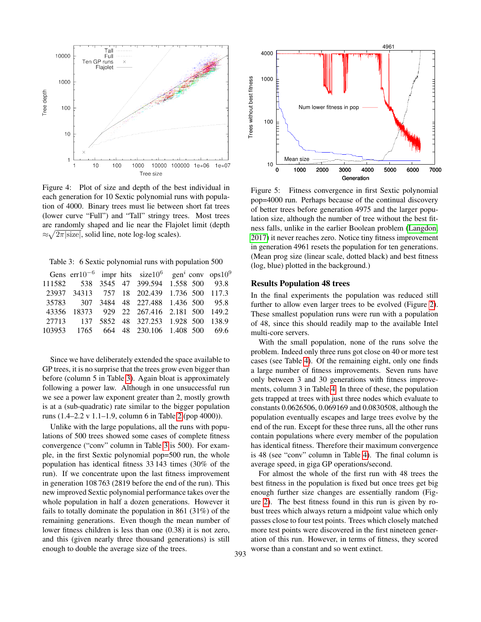

<span id="page-5-1"></span>Figure 4: Plot of size and depth of the best individual in each generation for 10 Sextic polynomial runs with population of 4000. Binary trees must lie between short fat trees (lower curve "Full") and "Tall" stringy trees. Most trees are randomly shaped and lie near the Flajolet limit (depth  $\approx \sqrt{2\pi |\text{size}|}$ , solid line, note log-log scales).

<span id="page-5-0"></span>Table 3: 6 Sextic polynomial runs with population 500

|  |  | Gens err $10^{-6}$ impr hits size $10^{6}$ gen <sup>i</sup> conv ops $10^{9}$ |  |  |
|--|--|-------------------------------------------------------------------------------|--|--|
|  |  | 111582 538 3545 47 399.594 1.558 500 93.8                                     |  |  |
|  |  | 23937 34313 757 18 202.439 1.736 500 117.3                                    |  |  |
|  |  | 35783 307 3484 48 227.488 1.436 500 95.8                                      |  |  |
|  |  | 43356 18373 929 22 267.416 2.181 500 149.2                                    |  |  |
|  |  | 27713 137 5852 48 327.253 1.928 500 138.9                                     |  |  |
|  |  | 103953 1765 664 48 230.106 1.408 500 69.6                                     |  |  |
|  |  |                                                                               |  |  |

Since we have deliberately extended the space available to GP trees, it is no surprise that the trees grow even bigger than before (column 5 in Table [3\)](#page-5-0). Again bloat is approximately following a power law. Although in one unsuccessful run we see a power law exponent greater than 2, mostly growth is at a (sub-quadratic) rate similar to the bigger population runs (1.4–2.2 v 1.1–1.9, column 6 in Table [2](#page-4-0) (pop 4000)).

Unlike with the large populations, all the runs with populations of 500 trees showed some cases of complete fitness convergence ("conv" column in Table [3](#page-5-0) is 500). For example, in the first Sextic polynomial pop=500 run, the whole population has identical fitness 33 143 times (30% of the run). If we concentrate upon the last fitness improvement in generation 108 763 (2819 before the end of the run). This new improved Sextic polynomial performance takes over the whole population in half a dozen generations. However it fails to totally dominate the population in 861 (31%) of the remaining generations. Even though the mean number of lower fitness children is less than one (0.38) it is not zero, and this (given nearly three thousand generations) is still enough to double the average size of the trees.



<span id="page-5-2"></span>Figure 5: Fitness convergence in first Sextic polynomial pop=4000 run. Perhaps because of the continual discovery of better trees before generation 4975 and the larger population size, although the number of tree without the best fitness falls, unlike in the earlier Boolean problem [\(Langdon,](#page-7-9) [2017\)](#page-7-9) it never reaches zero. Notice tiny fitness improvement in generation 4961 resets the population for ten generations. (Mean prog size (linear scale, dotted black) and best fitness (log, blue) plotted in the background.)

#### Results Population 48 trees

In the final experiments the population was reduced still further to allow even larger trees to be evolved (Figure [2\)](#page-2-0). These smallest population runs were run with a population of 48, since this should readily map to the available Intel multi-core servers.

With the small population, none of the runs solve the problem. Indeed only three runs got close on 40 or more test cases (see Table [4\)](#page-6-2). Of the remaining eight, only one finds a large number of fitness improvements. Seven runs have only between 3 and 30 generations with fitness improvements, column 3 in Table [4.](#page-6-2) In three of these, the population gets trapped at trees with just three nodes which evaluate to constants 0.0626506, 0.069169 and 0.0830508, although the population eventually escapes and large trees evolve by the end of the run. Except for these three runs, all the other runs contain populations where every member of the population has identical fitness. Therefore their maximum convergence is 48 (see "conv" column in Table [4\)](#page-6-2). The final column is average speed, in giga GP operations/second.

For almost the whole of the first run with 48 trees the best fitness in the population is fixed but once trees get big enough further size changes are essentially random (Figure [2\)](#page-2-0). The best fitness found in this run is given by robust trees which always return a midpoint value which only passes close to four test points. Trees which closely matched more test points were discovered in the first nineteen generation of this run. However, in terms of fitness, they scored worse than a constant and so went extinct.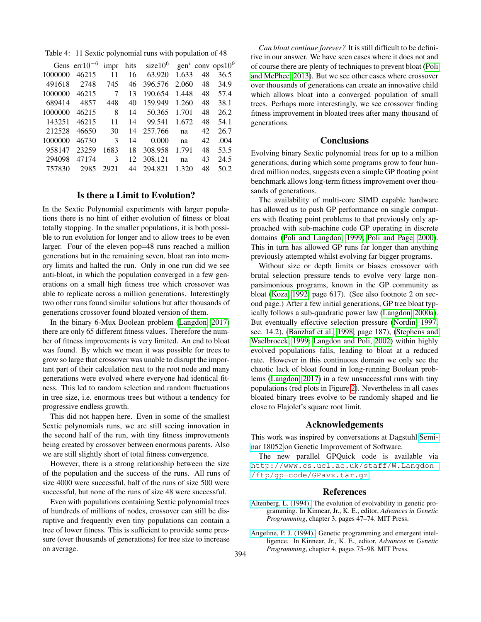<span id="page-6-2"></span>Table 4: 11 Sextic polynomial runs with population of 48

|         | Gens $err10^{-6}$ | impr | hits | $size10^6$ |       |    | gen <sup>i</sup> conv ops $10^9$ |
|---------|-------------------|------|------|------------|-------|----|----------------------------------|
| 1000000 | 46215             | 11   | 16   | 63.920     | 1.633 | 48 | 36.5                             |
| 491618  | 2748              | 745  | 46   | 396.576    | 2.060 | 48 | 34.9                             |
| 1000000 | 46215             | 7    | 13   | 190.654    | 1.448 | 48 | 57.4                             |
| 689414  | 4857              | 448  | 40   | 159.949    | 1.260 | 48 | 38.1                             |
| 1000000 | 46215             | 8    | 14   | 50.365     | 1.701 | 48 | 26.2                             |
| 143251  | 46215             | 11   | 14   | 99.541     | 1.672 | 48 | 54.1                             |
| 212528  | 46650             | 30   | 14   | 257.766    | na    | 42 | 26.7                             |
| 1000000 | 46730             | 3    | 14   | 0.000      | na    | 42 | .004                             |
| 958147  | 23259             | 1683 | 18   | 308.958    | 1.791 | 48 | 53.5                             |
| 294098  | 47174             | 3    | 12   | 308.121    | na    | 43 | 24.5                             |
| 757830  | 2985              | 2921 | 44   | 294.821    | 1 320 | 48 | 50.2                             |
|         |                   |      |      |            |       |    |                                  |

# Is there a Limit to Evolution?

In the Sextic Polynomial experiments with larger populations there is no hint of either evolution of fitness or bloat totally stopping. In the smaller populations, it is both possible to run evolution for longer and to allow trees to be even larger. Four of the eleven pop=48 runs reached a million generations but in the remaining seven, bloat ran into memory limits and halted the run. Only in one run did we see anti-bloat, in which the population converged in a few generations on a small high fitness tree which crossover was able to replicate across a million generations. Interestingly two other runs found similar solutions but after thousands of generations crossover found bloated version of them.

In the binary 6-Mux Boolean problem [\(Langdon, 2017\)](#page-7-9) there are only 65 different fitness values. Therefore the number of fitness improvements is very limited. An end to bloat was found. By which we mean it was possible for trees to grow so large that crossover was unable to disrupt the important part of their calculation next to the root node and many generations were evolved where everyone had identical fitness. This led to random selection and random fluctuations in tree size, i.e. enormous trees but without a tendency for progressive endless growth.

This did not happen here. Even in some of the smallest Sextic polynomials runs, we are still seeing innovation in the second half of the run, with tiny fitness improvements being created by crossover between enormous parents. Also we are still slightly short of total fitness convergence.

However, there is a strong relationship between the size of the population and the success of the runs. All runs of size 4000 were successful, half of the runs of size 500 were successful, but none of the runs of size 48 were successful.

Even with populations containing Sextic polynomial trees of hundreds of millions of nodes, crossover can still be disruptive and frequently even tiny populations can contain a tree of lower fitness. This is sufficient to provide some pressure (over thousands of generations) for tree size to increase on average.

*Can bloat continue forever?* It is still difficult to be definitive in our answer. We have seen cases where it does not and of course there are plenty of techniques to prevent bloat [\(Poli](#page-7-24) [and McPhee, 2013\)](#page-7-24). But we see other cases where crossover over thousands of generations can create an innovative child which allows bloat into a converged population of small trees. Perhaps more interestingly, we see crossover finding fitness improvement in bloated trees after many thousand of generations.

### **Conclusions**

Evolving binary Sextic polynomial trees for up to a million generations, during which some programs grow to four hundred million nodes, suggests even a simple GP floating point benchmark allows long-term fitness improvement over thousands of generations.

The availability of multi-core SIMD capable hardware has allowed us to push GP performance on single computers with floating point problems to that previously only approached with sub-machine code GP operating in discrete domains [\(Poli and Langdon, 1999;](#page-7-25) [Poli and Page, 2000\)](#page-7-26). This in turn has allowed GP runs far longer than anything previously attempted whilst evolving far bigger programs.

Without size or depth limits or biases crossover with brutal selection pressure tends to evolve very large nonparsimonious programs, known in the GP community as bloat [\(Koza, 1992,](#page-7-4) page 617). (See also footnote 2 on second page.) After a few initial generations, GP tree bloat typically follows a sub-quadratic power law [\(Langdon, 2000a\)](#page-7-22). But eventually effective selection pressure [\(Nordin, 1997,](#page-7-27) sec. 14.2), [\(Banzhaf et al., 1998,](#page-7-6) page 187), [\(Stephens and](#page-7-28) [Waelbroeck, 1999;](#page-7-28) [Langdon and Poli, 2002\)](#page-7-29) within highly evolved populations falls, leading to bloat at a reduced rate. However in this continuous domain we only see the chaotic lack of bloat found in long-running Boolean problems [\(Langdon, 2017\)](#page-7-9) in a few unsuccessful runs with tiny populations (red plots in Figure [2\)](#page-2-0). Nevertheless in all cases bloated binary trees evolve to be randomly shaped and lie close to Flajolet's square root limit.

### Acknowledgements

This work was inspired by conversations at Dagstuhl [Semi](https://www.dagstuhl.de/en/program/calendar/semhp/?semnr=18052)[nar 18052](https://www.dagstuhl.de/en/program/calendar/semhp/?semnr=18052) on Genetic Improvement of Software.

The new parallel GPQuick code is available via [http://www.cs.ucl.ac.uk/staff/W.Langdon](http://www.cs.ucl.ac.uk/staff/W.Langdon/ftp/gp-code/GPavx.tar.gz) [/ftp/gp-code/GPavx.tar.gz](http://www.cs.ucl.ac.uk/staff/W.Langdon/ftp/gp-code/GPavx.tar.gz)

### References

- <span id="page-6-0"></span>[Altenberg, L. \(1994\).](http://dynamics.org/~altenber/PAPERS/EEGP/) The evolution of evolvability in genetic programming. In Kinnear, Jr., K. E., editor, *Advances in Genetic Programming*, chapter 3, pages 47–74. MIT Press.
- <span id="page-6-1"></span>[Angeline, P. J. \(1994\).](http://cognet.mit.edu/sites/default/files/books/9780262277181/pdfs/9780262277181_chap4.pdf) Genetic programming and emergent intelligence. In Kinnear, Jr., K. E., editor, *Advances in Genetic Programming*, chapter 4, pages 75–98. MIT Press.